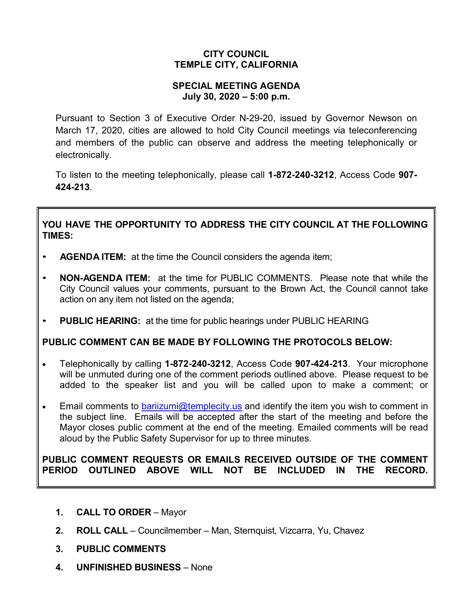### **CITY COUNCIL TEMPLE CITY, CALIFORNIA**

#### **SPECIAL MEETING AGENDA July 30, 2020 – 5:00 p.m.**

Pursuant to Section 3 of Executive Order N-29-20, issued by Governor Newson on March 17, 2020, cities are allowed to hold City Council meetings via teleconferencing and members of the public can observe and address the meeting telephonically or electronically.

To listen to the meeting telephonically, please call **1-872-240-3212**, Access Code **907- 424-213**.

# **YOU HAVE THE OPPORTUNITY TO ADDRESS THE CITY COUNCIL AT THE FOLLOWING TIMES:**

- **AGENDA ITEM:** at the time the Council considers the agenda item;
- **NON-AGENDA ITEM:** at the time for PUBLIC COMMENTS. Please note that while the City Council values your comments, pursuant to the Brown Act, the Council cannot take action on any item not listed on the agenda;
- **PUBLIC HEARING:** at the time for public hearings under PUBLIC HEARING

# **PUBLIC COMMENT CAN BE MADE BY FOLLOWING THE PROTOCOLS BELOW:**

- Telephonically by calling **1-872-240-3212**, Access Code **907-424-213**. Your microphone will be unmuted during one of the comment periods outlined above. Please request to be added to the speaker list and you will be called upon to make a comment; or
- Email comments to [bariizumi@templecity.us](mailto:bariizumi@templecity.us) and identify the item you wish to comment in the subject line. Emails will be accepted after the start of the meeting and before the Mayor closes public comment at the end of the meeting. Emailed comments will be read aloud by the Public Safety Supervisor for up to three minutes.

#### **PUBLIC COMMENT REQUESTS OR EMAILS RECEIVED OUTSIDE OF THE COMMENT PERIOD OUTLINED ABOVE WILL NOT BE INCLUDED IN THE RECORD.**

- **1. CALL TO ORDER** Mayor
- **2. ROLL CALL** Councilmember Man, Sternquist, Vizcarra, Yu, Chavez
- **3. PUBLIC COMMENTS**
- **4. UNFINISHED BUSINESS** None